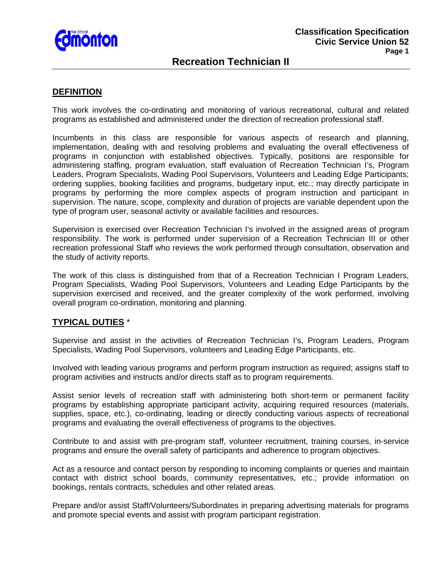

# **Recreation Technician II**

#### **DEFINITION**

This work involves the co-ordinating and monitoring of various recreational, cultural and related programs as established and administered under the direction of recreation professional staff.

Incumbents in this class are responsible for various aspects of research and planning, implementation, dealing with and resolving problems and evaluating the overall effectiveness of programs in conjunction with established objectives. Typically, positions are responsible for administering staffing, program evaluation, staff evaluation of Recreation Technician I's, Program Leaders, Program Specialists, Wading Pool Supervisors, Volunteers and Leading Edge Participants; ordering supplies, booking facilities and programs, budgetary input, etc.; may directly participate in programs by performing the more complex aspects of program instruction and participant in supervision. The nature, scope, complexity and duration of projects are variable dependent upon the type of program user, seasonal activity or available facilities and resources.

Supervision is exercised over Recreation Technician I's involved in the assigned areas of program responsibility. The work is performed under supervision of a Recreation Technician III or other recreation professional Staff who reviews the work performed through consultation, observation and the study of activity reports.

The work of this class is distinguished from that of a Recreation Technician I Program Leaders, Program Specialists, Wading Pool Supervisors, Volunteers and Leading Edge Participants by the supervision exercised and received, and the greater complexity of the work performed, involving overall program co-ordination, monitoring and planning.

## **TYPICAL DUTIES** \*

Supervise and assist in the activities of Recreation Technician I's, Program Leaders, Program Specialists, Wading Pool Supervisors, volunteers and Leading Edge Participants, etc.

Involved with leading various programs and perform program instruction as required; assigns staff to program activities and instructs and/or directs staff as to program requirements.

Assist senior levels of recreation staff with administering both short-term or permanent facility programs by establishing appropriate participant activity, acquiring required resources (materials, supplies, space, etc.), co-ordinating, leading or directly conducting various aspects of recreational programs and evaluating the overall effectiveness of programs to the objectives.

Contribute to and assist with pre-program staff, volunteer recruitment, training courses, in-service programs and ensure the overall safety of participants and adherence to program objectives.

Act as a resource and contact person by responding to incoming complaints or queries and maintain contact with district school boards, community representatives, etc.; provide information on bookings, rentals contracts, schedules and other related areas.

Prepare and/or assist Staff/Volunteers/Subordinates in preparing advertising materials for programs and promote special events and assist with program participant registration.